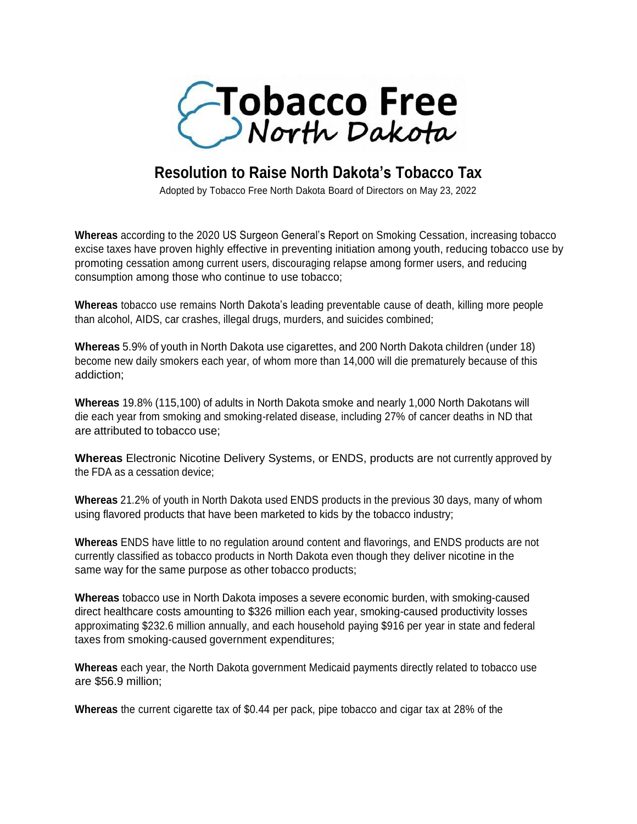

## **Resolution to Raise North Dakota's Tobacco Tax**

Adopted by Tobacco Free North Dakota Board of Directors on May 23, 2022

**Whereas** according to the 2020 US Surgeon General's Report on Smoking Cessation, increasing tobacco excise taxes have proven highly effective in preventing initiation among youth, reducing tobacco use by promoting cessation among current users, discouraging relapse among former users, and reducing consumption among those who continue to use tobacco;

**Whereas** tobacco use remains North Dakota's leading preventable cause of death, killing more people than alcohol, AIDS, car crashes, illegal drugs, murders, and suicides combined;

**Whereas** 5.9% of youth in North Dakota use cigarettes, and 200 North Dakota children (under 18) become new daily smokers each year, of whom more than 14,000 will die prematurely because of this addiction;

**Whereas** 19.8% (115,100) of adults in North Dakota smoke and nearly 1,000 North Dakotans will die each year from smoking and smoking-related disease, including 27% of cancer deaths in ND that are attributed to tobacco use;

**Whereas** Electronic Nicotine Delivery Systems, or ENDS, products are not currently approved by the FDA as a cessation device;

**Whereas** 21.2% of youth in North Dakota used ENDS products in the previous 30 days, many of whom using flavored products that have been marketed to kids by the tobacco industry;

**Whereas** ENDS have little to no regulation around content and flavorings, and ENDS products are not currently classified as tobacco products in North Dakota even though they deliver nicotine in the same way for the same purpose as other tobacco products;

**Whereas** tobacco use in North Dakota imposes a severe economic burden, with smoking-caused direct healthcare costs amounting to \$326 million each year, smoking-caused productivity losses approximating \$232.6 million annually, and each household paying \$916 per year in state and federal taxes from smoking-caused government expenditures;

**Whereas** each year, the North Dakota government Medicaid payments directly related to tobacco use are \$56.9 million;

**Whereas** the current cigarette tax of \$0.44 per pack, pipe tobacco and cigar tax at 28% of the